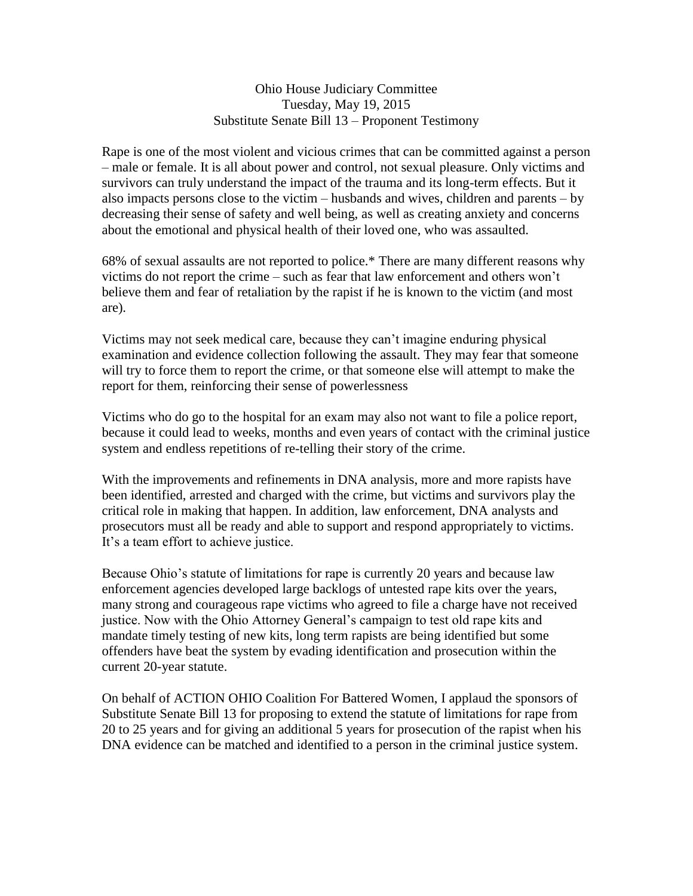## Ohio House Judiciary Committee Tuesday, May 19, 2015 Substitute Senate Bill 13 – Proponent Testimony

Rape is one of the most violent and vicious crimes that can be committed against a person – male or female. It is all about power and control, not sexual pleasure. Only victims and survivors can truly understand the impact of the trauma and its long-term effects. But it also impacts persons close to the victim – husbands and wives, children and parents – by decreasing their sense of safety and well being, as well as creating anxiety and concerns about the emotional and physical health of their loved one, who was assaulted.

68% of sexual assaults are not reported to police.\* There are many different reasons why victims do not report the crime – such as fear that law enforcement and others won't believe them and fear of retaliation by the rapist if he is known to the victim (and most are).

Victims may not seek medical care, because they can't imagine enduring physical examination and evidence collection following the assault. They may fear that someone will try to force them to report the crime, or that someone else will attempt to make the report for them, reinforcing their sense of powerlessness

Victims who do go to the hospital for an exam may also not want to file a police report, because it could lead to weeks, months and even years of contact with the criminal justice system and endless repetitions of re-telling their story of the crime.

With the improvements and refinements in DNA analysis, more and more rapists have been identified, arrested and charged with the crime, but victims and survivors play the critical role in making that happen. In addition, law enforcement, DNA analysts and prosecutors must all be ready and able to support and respond appropriately to victims. It's a team effort to achieve justice.

Because Ohio's statute of limitations for rape is currently 20 years and because law enforcement agencies developed large backlogs of untested rape kits over the years, many strong and courageous rape victims who agreed to file a charge have not received justice. Now with the Ohio Attorney General's campaign to test old rape kits and mandate timely testing of new kits, long term rapists are being identified but some offenders have beat the system by evading identification and prosecution within the current 20-year statute.

On behalf of ACTION OHIO Coalition For Battered Women, I applaud the sponsors of Substitute Senate Bill 13 for proposing to extend the statute of limitations for rape from 20 to 25 years and for giving an additional 5 years for prosecution of the rapist when his DNA evidence can be matched and identified to a person in the criminal justice system.